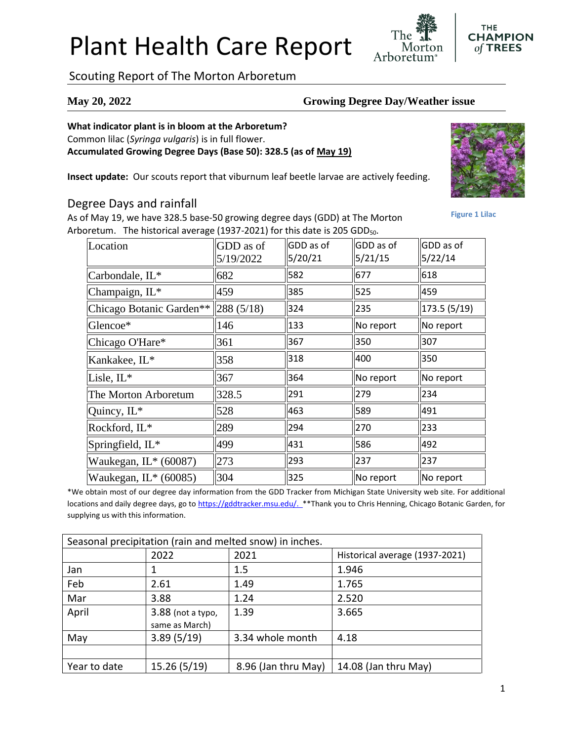# Plant Health Care Report

Scouting Report of The Morton Arboretum

#### **May 20, 2022 Growing Degree Day/Weather issue**

#### **What indicator plant is in bloom at the Arboretum?**

Common lilac (*Syringa vulgaris*) is in full flower.

**Accumulated Growing Degree Days (Base 50): 328.5 (as of May 19)**

**Insect update:** Our scouts report that viburnum leaf beetle larvae are actively feeding.

### Degree Days and rainfall

As of May 19, we have 328.5 base-50 growing degree days (GDD) at The Morton Arboretum. The historical average (1937-2021) for this date is 205 GDD<sub>50</sub>.

| Location                                 | GDD as of<br>5/19/2022 | GDD as of<br>5/20/21 | GDD as of<br>5/21/15 | GDD as of<br>5/22/14 |
|------------------------------------------|------------------------|----------------------|----------------------|----------------------|
| Carbondale, IL*                          | 682                    | 582                  | 677                  | 618                  |
| Champaign, IL*                           | 459                    | 385                  | 525                  | 459                  |
| Chicago Botanic Garden** $\ 288(5/18)\ $ |                        | 324                  | 235                  | 173.5(5/19)          |
| Glencoe*                                 | 146                    | 133                  | No report            | No report            |
| Chicago O'Hare*                          | 361                    | 367                  | 350                  | 307                  |
| Kankakee, IL*                            | 358                    | 318                  | 400                  | 350                  |
| Lisle, IL*                               | 367                    | 364                  | No report            | No report            |
| The Morton Arboretum                     | 328.5                  | 291                  | 279                  | 234                  |
| Quincy, IL*                              | 528                    | 463                  | 589                  | 491                  |
| Rockford, IL*                            | 289                    | 294                  | 270                  | 233                  |
| Springfield, IL*                         | 499                    | 431                  | 586                  | 492                  |
| Waukegan, IL* (60087)                    | 273                    | 293                  | 237                  | 237                  |
| Waukegan, $IL^*(60085)$                  | 304                    | 325                  | No report            | No report            |

\*We obtain most of our degree day information from the GDD Tracker from Michigan State University web site. For additional locations and daily degree days, go to [https://gddtracker.msu.edu/.](https://gddtracker.msu.edu/) \*\*Thank you to Chris Henning, Chicago Botanic Garden, for supplying us with this information.

| Seasonal precipitation (rain and melted snow) in inches. |                     |                     |                                |  |  |  |
|----------------------------------------------------------|---------------------|---------------------|--------------------------------|--|--|--|
|                                                          | 2022                | 2021                | Historical average (1937-2021) |  |  |  |
| Jan                                                      |                     | $1.5\,$             | 1.946                          |  |  |  |
| Feb                                                      | 2.61                | 1.49                | 1.765                          |  |  |  |
| Mar                                                      | 3.88                | 1.24                | 2.520                          |  |  |  |
| April                                                    | $3.88$ (not a typo, | 1.39                | 3.665                          |  |  |  |
|                                                          | same as March)      |                     |                                |  |  |  |
| May                                                      | 3.89(5/19)          | 3.34 whole month    | 4.18                           |  |  |  |
|                                                          |                     |                     |                                |  |  |  |
| Year to date                                             | 15.26 (5/19)        | 8.96 (Jan thru May) | 14.08 (Jan thru May)           |  |  |  |

**Figure 1 Lilac**